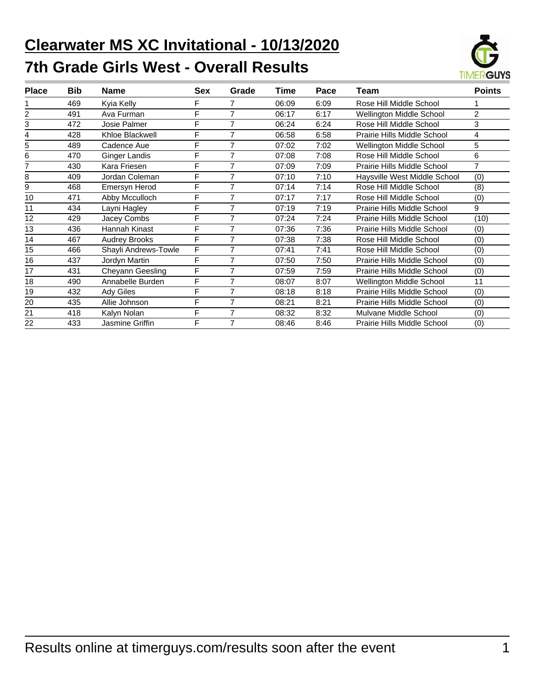# **Clearwater MS XC Invitational - 10/13/2020 7th Grade Girls West - Overall Results**



| <b>Place</b> | <b>Bib</b> | <b>Name</b>          | <b>Sex</b> | Grade          | Time  | Pace | Team                         | <b>Points</b>  |
|--------------|------------|----------------------|------------|----------------|-------|------|------------------------------|----------------|
|              | 469        | Kyia Kelly           | F          |                | 06:09 | 6:09 | Rose Hill Middle School      |                |
|              | 491        | Ava Furman           | F          | 7              | 06:17 | 6:17 | Wellington Middle School     | 2              |
| 3            | 472        | Josie Palmer         | F          | 7              | 06:24 | 6:24 | Rose Hill Middle School      | 3              |
| 4            | 428        | Khloe Blackwell      | F          | 7              | 06:58 | 6:58 | Prairie Hills Middle School  | 4              |
| 5            | 489        | Cadence Aue          | F          | 7              | 07:02 | 7:02 | Wellington Middle School     | 5              |
| 6            | 470        | Ginger Landis        | F          | 7              | 07:08 | 7:08 | Rose Hill Middle School      | 6              |
|              | 430        | Kara Friesen         | F          | $\overline{7}$ | 07:09 | 7:09 | Prairie Hills Middle School  | $\overline{7}$ |
| 8            | 409        | Jordan Coleman       | F          | 7              | 07:10 | 7:10 | Haysville West Middle School | (0)            |
| 9            | 468        | Emersyn Herod        | F          | 7              | 07:14 | 7:14 | Rose Hill Middle School      | (8)            |
| 10           | 471        | Abby Mcculloch       | F          | $\overline{7}$ | 07:17 | 7:17 | Rose Hill Middle School      | (0)            |
| 11           | 434        | Layni Hagley         | F          | 7              | 07:19 | 7:19 | Prairie Hills Middle School  | 9              |
| 12           | 429        | Jacey Combs          | F          | 7              | 07:24 | 7:24 | Prairie Hills Middle School  | (10)           |
| 13           | 436        | Hannah Kinast        | F          | 7              | 07:36 | 7:36 | Prairie Hills Middle School  | (0)            |
| 14           | 467        | <b>Audrey Brooks</b> | F          | 7              | 07:38 | 7:38 | Rose Hill Middle School      | (0)            |
| 15           | 466        | Shayli Andrews-Towle | F          | 7              | 07:41 | 7:41 | Rose Hill Middle School      | (0)            |
| 16           | 437        | Jordyn Martin        | F          | 7              | 07:50 | 7:50 | Prairie Hills Middle School  | (0)            |
| 17           | 431        | Cheyann Geesling     | F          | 7              | 07:59 | 7:59 | Prairie Hills Middle School  | (0)            |
| 18           | 490        | Annabelle Burden     | F          | 7              | 08:07 | 8:07 | Wellington Middle School     | 11             |
| 19           | 432        | <b>Ady Giles</b>     | F          | 7              | 08:18 | 8:18 | Prairie Hills Middle School  | (0)            |
| 20           | 435        | Allie Johnson        | F          | 7              | 08:21 | 8:21 | Prairie Hills Middle School  | (0)            |
| 21           | 418        | Kalyn Nolan          | F          | 7              | 08:32 | 8:32 | Mulvane Middle School        | (0)            |
| 22           | 433        | Jasmine Griffin      | F          | 7              | 08:46 | 8:46 | Prairie Hills Middle School  | (0)            |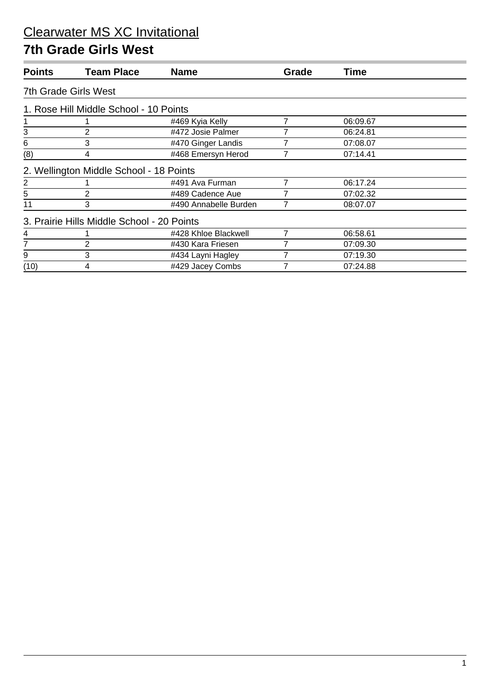#### **7th Grade Girls West**

| <b>Points</b>               | <b>Team Place</b>                          | <b>Name</b>           | Grade | Time     |  |  |  |  |  |
|-----------------------------|--------------------------------------------|-----------------------|-------|----------|--|--|--|--|--|
| <b>7th Grade Girls West</b> |                                            |                       |       |          |  |  |  |  |  |
|                             | 1. Rose Hill Middle School - 10 Points     |                       |       |          |  |  |  |  |  |
|                             |                                            | #469 Kyia Kelly       | 7     | 06:09.67 |  |  |  |  |  |
| 3                           | 2                                          | #472 Josie Palmer     |       | 06:24.81 |  |  |  |  |  |
| 6                           | 3                                          | #470 Ginger Landis    |       | 07:08.07 |  |  |  |  |  |
| (8)                         | 4                                          | #468 Emersyn Herod    |       | 07:14.41 |  |  |  |  |  |
|                             | 2. Wellington Middle School - 18 Points    |                       |       |          |  |  |  |  |  |
| $\overline{2}$              |                                            | #491 Ava Furman       | 7     | 06:17.24 |  |  |  |  |  |
| 5                           | 2                                          | #489 Cadence Aue      |       | 07:02.32 |  |  |  |  |  |
| 11                          | 3                                          | #490 Annabelle Burden |       | 08:07.07 |  |  |  |  |  |
|                             | 3. Prairie Hills Middle School - 20 Points |                       |       |          |  |  |  |  |  |
| 4                           |                                            | #428 Khloe Blackwell  | 7     | 06:58.61 |  |  |  |  |  |
| 7                           | 2                                          | #430 Kara Friesen     |       | 07:09.30 |  |  |  |  |  |
| 9                           | 3                                          | #434 Layni Hagley     |       | 07:19.30 |  |  |  |  |  |
| (10)                        | 4                                          | #429 Jacey Combs      |       | 07:24.88 |  |  |  |  |  |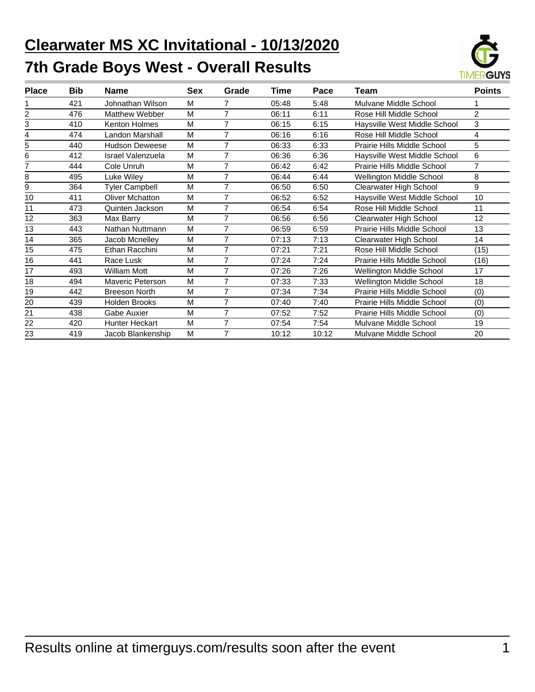# **Clearwater MS XC Invitational - 10/13/2020 7th Grade Boys West - Overall Results**



| <b>Place</b> | <b>Bib</b> | <b>Name</b>              | Sex | Grade          | Time  | Pace  | Team                         | <b>Points</b>  |
|--------------|------------|--------------------------|-----|----------------|-------|-------|------------------------------|----------------|
|              | 421        | Johnathan Wilson         | М   | 7              | 05:48 | 5:48  | Mulvane Middle School        |                |
| 2            | 476        | Matthew Webber           | M   | $\overline{7}$ | 06:11 | 6:11  | Rose Hill Middle School      | $\overline{2}$ |
| 3            | 410        | Kenton Holmes            | M   | $\overline{7}$ | 06:15 | 6:15  | Haysville West Middle School | 3              |
|              | 474        | Landon Marshall          | M   | $\overline{7}$ | 06:16 | 6:16  | Rose Hill Middle School      | 4              |
| 5            | 440        | <b>Hudson Deweese</b>    | M   | 7              | 06:33 | 6:33  | Prairie Hills Middle School  | 5              |
| 6            | 412        | <b>Israel Valenzuela</b> | M   | 7              | 06:36 | 6:36  | Haysville West Middle School | 6              |
|              | 444        | Cole Unruh               | M   | $\overline{7}$ | 06:42 | 6:42  | Prairie Hills Middle School  | $\overline{7}$ |
| 8            | 495        | Luke Wiley               | M   | 7              | 06:44 | 6:44  | Wellington Middle School     | 8              |
| 9            | 364        | <b>Tyler Campbell</b>    | M   | 7              | 06:50 | 6:50  | Clearwater High School       | 9              |
| 10           | 411        | <b>Oliver Mchatton</b>   | M   | 7              | 06:52 | 6:52  | Haysville West Middle School | 10             |
| 11           | 473        | Quinten Jackson          | M   | 7              | 06:54 | 6:54  | Rose Hill Middle School      | 11             |
| 12           | 363        | Max Barry                | M   | 7              | 06:56 | 6:56  | Clearwater High School       | 12             |
| 13           | 443        | Nathan Nuttmann          | M   | $\overline{7}$ | 06:59 | 6:59  | Prairie Hills Middle School  | 13             |
| 14           | 365        | Jacob Mcnelley           | M   | 7              | 07:13 | 7:13  | Clearwater High School       | 14             |
| 15           | 475        | Ethan Racchini           | M   | $\overline{7}$ | 07:21 | 7:21  | Rose Hill Middle School      | (15)           |
| 16           | 441        | Race Lusk                | M   | $\overline{7}$ | 07:24 | 7:24  | Prairie Hills Middle School  | (16)           |
| 17           | 493        | William Mott             | M   | 7              | 07:26 | 7:26  | Wellington Middle School     | 17             |
| 18           | 494        | Maveric Peterson         | M   | 7              | 07:33 | 7:33  | Wellington Middle School     | 18             |
| 19           | 442        | <b>Breeson North</b>     | M   | 7              | 07:34 | 7:34  | Prairie Hills Middle School  | (0)            |
| 20           | 439        | Holden Brooks            | М   | 7              | 07:40 | 7:40  | Prairie Hills Middle School  | (0)            |
| 21           | 438        | Gabe Auxier              | M   | 7              | 07:52 | 7:52  | Prairie Hills Middle School  | (0)            |
| 22           | 420        | Hunter Heckart           | M   | 7              | 07:54 | 7:54  | Mulvane Middle School        | 19             |
| 23           | 419        | Jacob Blankenship        | М   | 7              | 10:12 | 10:12 | Mulvane Middle School        | 20             |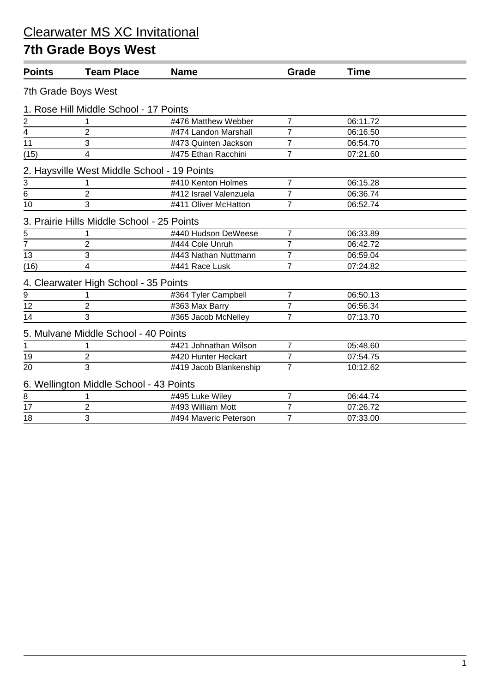### **7th Grade Boys West**

| <b>Points</b>   | <b>Team Place</b>                           | <b>Name</b>            | Grade          | <b>Time</b> |  |
|-----------------|---------------------------------------------|------------------------|----------------|-------------|--|
|                 | 7th Grade Boys West                         |                        |                |             |  |
|                 | 1. Rose Hill Middle School - 17 Points      |                        |                |             |  |
| $\overline{2}$  |                                             | #476 Matthew Webber    | $\overline{7}$ | 06:11.72    |  |
| 4               | $\overline{2}$                              | #474 Landon Marshall   | $\overline{7}$ | 06:16.50    |  |
| $\overline{11}$ | 3                                           | #473 Quinten Jackson   | $\overline{7}$ | 06:54.70    |  |
| (15)            | 4                                           | #475 Ethan Racchini    | $\overline{7}$ | 07:21.60    |  |
|                 | 2. Haysville West Middle School - 19 Points |                        |                |             |  |
|                 |                                             | #410 Kenton Holmes     | $\overline{7}$ | 06:15.28    |  |
| $rac{3}{6}$     | 2                                           | #412 Israel Valenzuela | 7              | 06:36.74    |  |
| 10              | 3                                           | #411 Oliver McHatton   | $\overline{7}$ | 06:52.74    |  |
|                 | 3. Prairie Hills Middle School - 25 Points  |                        |                |             |  |
| 5               |                                             | #440 Hudson DeWeese    | $\overline{7}$ | 06:33.89    |  |
| $\overline{7}$  | $\overline{2}$                              | #444 Cole Unruh        | 7              | 06:42.72    |  |
| $\overline{13}$ | 3                                           | #443 Nathan Nuttmann   | $\overline{7}$ | 06:59.04    |  |
| (16)            | $\overline{\mathbf{4}}$                     | #441 Race Lusk         | $\overline{7}$ | 07:24.82    |  |
|                 | 4. Clearwater High School - 35 Points       |                        |                |             |  |
| 9               |                                             | #364 Tyler Campbell    | 7              | 06:50.13    |  |
| 12              | $\overline{2}$                              | #363 Max Barry         | $\overline{7}$ | 06:56.34    |  |
| 14              | 3                                           | #365 Jacob McNelley    | $\overline{7}$ | 07:13.70    |  |
|                 | 5. Mulvane Middle School - 40 Points        |                        |                |             |  |
| 1               |                                             | #421 Johnathan Wilson  | $\overline{7}$ | 05:48.60    |  |
| 19              | $\overline{2}$                              | #420 Hunter Heckart    | $\overline{7}$ | 07:54.75    |  |
| 20              | 3                                           | #419 Jacob Blankenship | $\overline{7}$ | 10:12.62    |  |
|                 | 6. Wellington Middle School - 43 Points     |                        |                |             |  |
| $\bf 8$         |                                             | #495 Luke Wiley        | 7              | 06:44.74    |  |
| 17              | $\overline{2}$                              | #493 William Mott      | $\overline{7}$ | 07:26.72    |  |
| 18              | 3                                           | #494 Maveric Peterson  | $\overline{7}$ | 07:33.00    |  |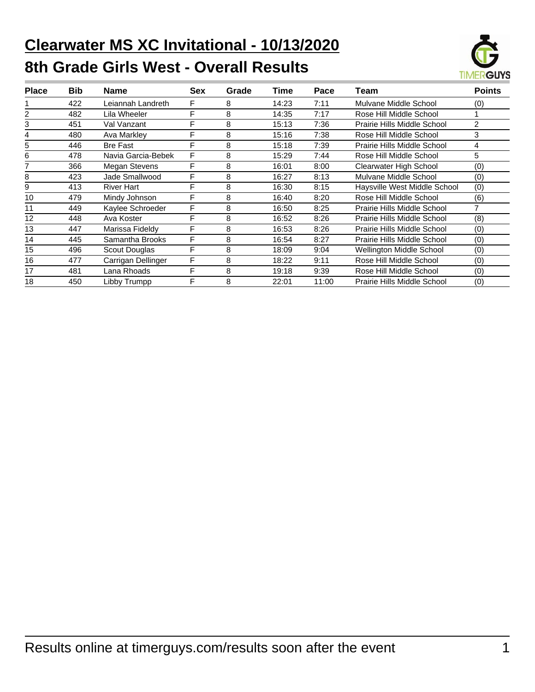# **Clearwater MS XC Invitational - 10/13/2020 8th Grade Girls West - Overall Results**



| <b>Place</b> | <b>Bib</b> | <b>Name</b>        | <b>Sex</b> | Grade | Time  | Pace  | Team                            | <b>Points</b> |
|--------------|------------|--------------------|------------|-------|-------|-------|---------------------------------|---------------|
|              | 422        | Leiannah Landreth  | F          | 8     | 14:23 | 7:11  | Mulvane Middle School           | (0)           |
|              | 482        | Lila Wheeler       | F          | 8     | 14:35 | 7:17  | Rose Hill Middle School         |               |
| 3            | 451        | Val Vanzant        | F          | 8     | 15:13 | 7:36  | Prairie Hills Middle School     | 2             |
|              | 480        | Ava Markley        | F          | 8     | 15:16 | 7:38  | Rose Hill Middle School         | 3             |
| 5            | 446        | <b>Bre Fast</b>    | F          | 8     | 15:18 | 7:39  | Prairie Hills Middle School     | 4             |
| 6            | 478        | Navia Garcia-Bebek | F          | 8     | 15:29 | 7:44  | Rose Hill Middle School         | 5             |
|              | 366        | Megan Stevens      | F          | 8     | 16:01 | 8:00  | Clearwater High School          | (0)           |
| 8            | 423        | Jade Smallwood     | F          | 8     | 16:27 | 8:13  | Mulvane Middle School           | (0)           |
| 9            | 413        | <b>River Hart</b>  | F          | 8     | 16:30 | 8:15  | Haysville West Middle School    | (0)           |
| 10           | 479        | Mindy Johnson      | F          | 8     | 16:40 | 8:20  | Rose Hill Middle School         | (6)           |
| 11           | 449        | Kaylee Schroeder   | F          | 8     | 16:50 | 8:25  | Prairie Hills Middle School     | 7             |
| 12           | 448        | Ava Koster         | F          | 8     | 16:52 | 8:26  | Prairie Hills Middle School     | (8)           |
| 13           | 447        | Marissa Fideldy    | F          | 8     | 16:53 | 8:26  | Prairie Hills Middle School     | (0)           |
| 14           | 445        | Samantha Brooks    | F          | 8     | 16:54 | 8:27  | Prairie Hills Middle School     | (0)           |
| 15           | 496        | Scout Douglas      | F          | 8     | 18:09 | 9:04  | <b>Wellington Middle School</b> | (0)           |
| 16           | 477        | Carrigan Dellinger | F          | 8     | 18:22 | 9:11  | Rose Hill Middle School         | (0)           |
| 17           | 481        | Lana Rhoads        | F          | 8     | 19:18 | 9:39  | Rose Hill Middle School         | (0)           |
| 18           | 450        | Libby Trumpp       | F          | 8     | 22:01 | 11:00 | Prairie Hills Middle School     | (0)           |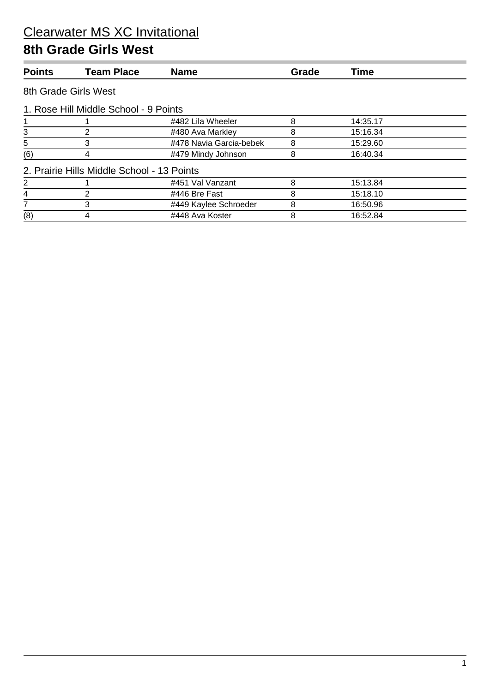#### **8th Grade Girls West**

| <b>Points</b>        | <b>Team Place</b>                          | <b>Name</b>             | Grade | <b>Time</b> |  |  |  |  |  |
|----------------------|--------------------------------------------|-------------------------|-------|-------------|--|--|--|--|--|
| 8th Grade Girls West |                                            |                         |       |             |  |  |  |  |  |
|                      | 1. Rose Hill Middle School - 9 Points      |                         |       |             |  |  |  |  |  |
|                      |                                            | #482 Lila Wheeler       | 8     | 14:35.17    |  |  |  |  |  |
| 3                    | 2                                          | #480 Ava Markley        | 8     | 15:16.34    |  |  |  |  |  |
| 5                    | 3                                          | #478 Navia Garcia-bebek | 8     | 15:29.60    |  |  |  |  |  |
| (6)                  | 4                                          | #479 Mindy Johnson      | 8     | 16:40.34    |  |  |  |  |  |
|                      | 2. Prairie Hills Middle School - 13 Points |                         |       |             |  |  |  |  |  |
| 2                    |                                            | #451 Val Vanzant        | 8     | 15:13.84    |  |  |  |  |  |
| 4                    | 2                                          | #446 Bre Fast           | 8     | 15:18.10    |  |  |  |  |  |
|                      | 3                                          | #449 Kaylee Schroeder   | 8     | 16:50.96    |  |  |  |  |  |
| (8)                  | 4                                          | #448 Ava Koster         | 8     | 16:52.84    |  |  |  |  |  |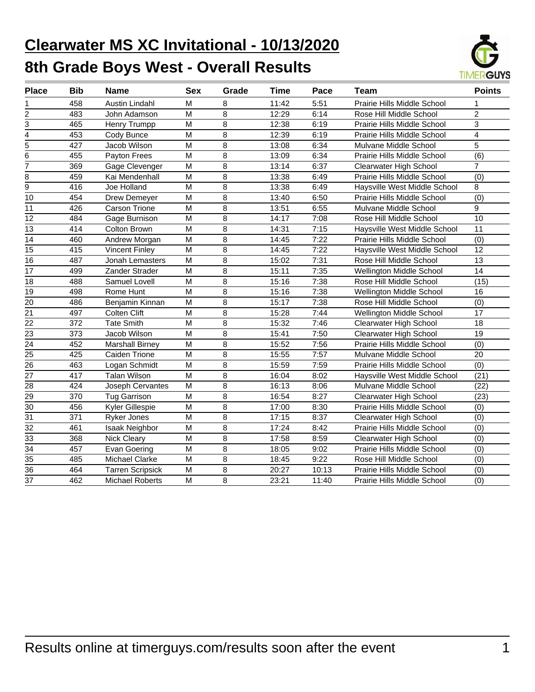# **Clearwater MS XC Invitational - 10/13/2020 8th Grade Boys West - Overall Results**



| <b>Place</b>    | <b>Bib</b> | Name                    | <b>Sex</b>     | Grade | Time  | Pace  | Team                            | <b>Points</b>           |
|-----------------|------------|-------------------------|----------------|-------|-------|-------|---------------------------------|-------------------------|
| 1               | 458        | Austin Lindahl          | м              | 8     | 11:42 | 5:51  | Prairie Hills Middle School     | 1                       |
| 2               | 483        | John Adamson            | M              | 8     | 12:29 | 6:14  | Rose Hill Middle School         | $\overline{2}$          |
| 3               | 465        | Henry Trumpp            | M              | 8     | 12:38 | 6:19  | Prairie Hills Middle School     | 3                       |
| 4               | 453        | Cody Bunce              | M              | 8     | 12:39 | 6:19  | Prairie Hills Middle School     | $\overline{\mathbf{4}}$ |
| $\overline{5}$  | 427        | Jacob Wilson            | M              | 8     | 13:08 | 6:34  | Mulvane Middle School           | 5                       |
| 6               | 455        | Payton Frees            | M              | 8     | 13:09 | 6:34  | Prairie Hills Middle School     | (6)                     |
| 7               | 369        | Gage Clevenger          | M              | 8     | 13:14 | 6:37  | Clearwater High School          | $\overline{7}$          |
| 8               | 459        | Kai Mendenhall          | M              | 8     | 13:38 | 6:49  | Prairie Hills Middle School     | (0)                     |
| $\overline{9}$  | 416        | Joe Holland             | M              | 8     | 13:38 | 6:49  | Haysville West Middle School    | 8                       |
| 10              | 454        | Drew Demeyer            | M              | 8     | 13:40 | 6:50  | Prairie Hills Middle School     | (0)                     |
| 11              | 426        | <b>Carson Trione</b>    | M              | 8     | 13:51 | 6:55  | Mulvane Middle School           | 9                       |
| 12              | 484        | Gage Burnison           | M              | 8     | 14:17 | 7:08  | Rose Hill Middle School         | 10                      |
| 13              | 414        | Colton Brown            | M              | 8     | 14:31 | 7:15  | Haysville West Middle School    | 11                      |
| $\overline{14}$ | 460        | Andrew Morgan           | M              | 8     | 14:45 | 7:22  | Prairie Hills Middle School     | $\overline{(0)}$        |
| 15              | 415        | <b>Vincent Finley</b>   | M              | 8     | 14:45 | 7:22  | Haysville West Middle School    | 12                      |
| 16              | 487        | Jonah Lemasters         | M              | 8     | 15:02 | 7:31  | Rose Hill Middle School         | $\overline{13}$         |
| 17              | 499        | Zander Strader          | M              | 8     | 15:11 | 7:35  | Wellington Middle School        | $\overline{14}$         |
| 18              | 488        | Samuel Lovell           | $\overline{M}$ | 8     | 15:16 | 7:38  | Rose Hill Middle School         | (15)                    |
| 19              | 498        | Rome Hunt               | M              | 8     | 15:16 | 7:38  | <b>Wellington Middle School</b> | 16                      |
| 20              | 486        | Benjamin Kinnan         | M              | 8     | 15:17 | 7:38  | Rose Hill Middle School         | (0)                     |
| 21              | 497        | Colten Clift            | M              | 8     | 15:28 | 7:44  | Wellington Middle School        | 17                      |
| 22              | 372        | <b>Tate Smith</b>       | M              | 8     | 15:32 | 7:46  | Clearwater High School          | 18                      |
| 23              | 373        | Jacob Wilson            | M              | 8     | 15:41 | 7:50  | Clearwater High School          | 19                      |
| 24              | 452        | <b>Marshall Birney</b>  | M              | 8     | 15:52 | 7:56  | Prairie Hills Middle School     | (0)                     |
| 25              | 425        | Caiden Trione           | M              | 8     | 15:55 | 7:57  | Mulvane Middle School           | 20                      |
| 26              | 463        | Logan Schmidt           | M              | 8     | 15:59 | 7:59  | Prairie Hills Middle School     | (0)                     |
| 27              | 417        | <b>Talan Wilson</b>     | M              | 8     | 16:04 | 8:02  | Haysville West Middle School    | (21)                    |
| 28              | 424        | <b>Joseph Cervantes</b> | M              | 8     | 16:13 | 8:06  | Mulvane Middle School           | (22)                    |
| 29              | 370        | <b>Tug Garrison</b>     | M              | 8     | 16:54 | 8:27  | Clearwater High School          | (23)                    |
| 30              | 456        | Kyler Gillespie         | M              | 8     | 17:00 | 8:30  | Prairie Hills Middle School     | (0)                     |
| $\overline{31}$ | 371        | <b>Ryker Jones</b>      | M              | 8     | 17:15 | 8:37  | <b>Clearwater High School</b>   | (0)                     |
| $\overline{32}$ | 461        | <b>Isaak Neighbor</b>   | M              | 8     | 17:24 | 8:42  | Prairie Hills Middle School     | (0)                     |
| $\overline{33}$ | 368        | <b>Nick Cleary</b>      | $\overline{M}$ | 8     | 17:58 | 8:59  | <b>Clearwater High School</b>   | (0)                     |
| $\overline{34}$ | 457        | Evan Goering            | M              | 8     | 18:05 | 9:02  | Prairie Hills Middle School     | (0)                     |
| $\overline{35}$ | 485        | Michael Clarke          | M              | 8     | 18:45 | 9:22  | Rose Hill Middle School         | (0)                     |
| 36              | 464        | <b>Tarren Scripsick</b> | M              | 8     | 20:27 | 10:13 | Prairie Hills Middle School     | (0)                     |
| $\overline{37}$ | 462        | Michael Roberts         | M              | 8     | 23:21 | 11:40 | Prairie Hills Middle School     | (0)                     |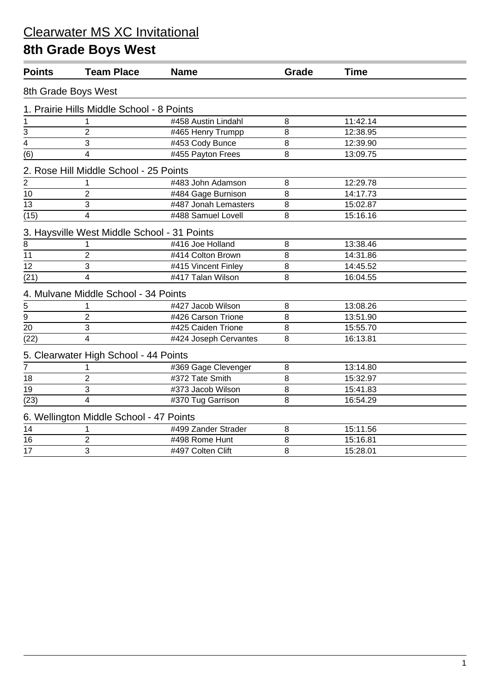### **8th Grade Boys West**

| <b>Points</b>             | <b>Team Place</b>                           | <b>Name</b>           | Grade | <b>Time</b> |  |
|---------------------------|---------------------------------------------|-----------------------|-------|-------------|--|
|                           | 8th Grade Boys West                         |                       |       |             |  |
|                           | 1. Prairie Hills Middle School - 8 Points   |                       |       |             |  |
| $\mathbf 1$               |                                             | #458 Austin Lindahl   | 8     | 11:42.14    |  |
|                           | $\overline{2}$                              | #465 Henry Trumpp     | 8     | 12:38.95    |  |
| $\frac{3}{4}$             | 3                                           | #453 Cody Bunce       | 8     | 12:39.90    |  |
| (6)                       | 4                                           | #455 Payton Frees     | 8     | 13:09.75    |  |
|                           | 2. Rose Hill Middle School - 25 Points      |                       |       |             |  |
| 2                         |                                             | #483 John Adamson     | 8     | 12:29.78    |  |
| 10                        | $\overline{2}$                              | #484 Gage Burnison    | 8     | 14:17.73    |  |
| 13                        | 3                                           | #487 Jonah Lemasters  | 8     | 15:02.87    |  |
| (15)                      | 4                                           | #488 Samuel Lovell    | 8     | 15:16.16    |  |
|                           | 3. Haysville West Middle School - 31 Points |                       |       |             |  |
| 8                         | 1                                           | #416 Joe Holland      | 8     | 13:38.46    |  |
| $\overline{11}$           | $\overline{2}$                              | #414 Colton Brown     | 8     | 14:31.86    |  |
| 12                        | 3                                           | #415 Vincent Finley   | 8     | 14:45.52    |  |
| (21)                      | $\overline{4}$                              | #417 Talan Wilson     | 8     | 16:04.55    |  |
|                           | 4. Mulvane Middle School - 34 Points        |                       |       |             |  |
| $\frac{5}{\underline{9}}$ |                                             | #427 Jacob Wilson     | 8     | 13:08.26    |  |
|                           | $\overline{2}$                              | #426 Carson Trione    | 8     | 13:51.90    |  |
|                           | 3                                           | #425 Caiden Trione    | 8     | 15:55.70    |  |
| (22)                      | $\overline{4}$                              | #424 Joseph Cervantes | 8     | 16:13.81    |  |
|                           | 5. Clearwater High School - 44 Points       |                       |       |             |  |
| 7                         |                                             | #369 Gage Clevenger   | 8     | 13:14.80    |  |
| 18                        | $\overline{2}$                              | #372 Tate Smith       | 8     | 15:32.97    |  |
| $\overline{19}$           | 3                                           | #373 Jacob Wilson     | 8     | 15:41.83    |  |
| (23)                      | $\overline{\mathbf{4}}$                     | #370 Tug Garrison     | 8     | 16:54.29    |  |
|                           | 6. Wellington Middle School - 47 Points     |                       |       |             |  |
| 14                        | 1                                           | #499 Zander Strader   | 8     | 15:11.56    |  |
| 16                        | $\overline{2}$                              | #498 Rome Hunt        | 8     | 15:16.81    |  |
| 17                        | 3                                           | #497 Colten Clift     | 8     | 15:28.01    |  |
|                           |                                             |                       |       |             |  |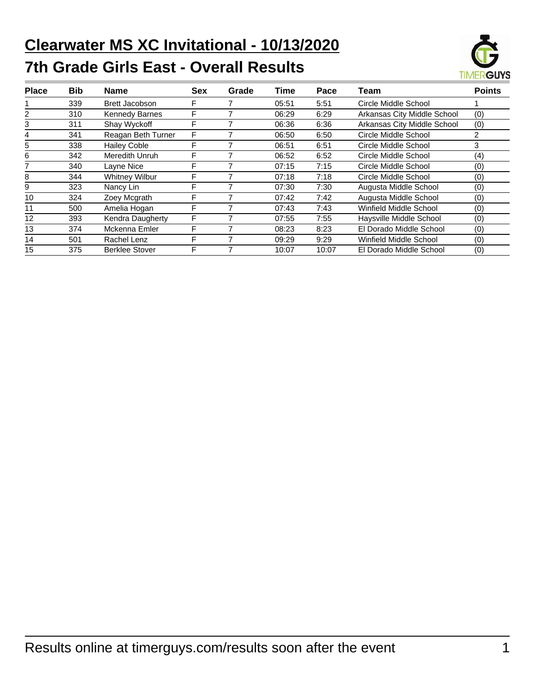# **Clearwater MS XC Invitational - 10/13/2020 7th Grade Girls East - Overall Results**



| <b>Place</b> | <b>Bib</b> | Name                  | <b>Sex</b> | Grade | Time  | Pace  | Team                        | <b>Points</b> |
|--------------|------------|-----------------------|------------|-------|-------|-------|-----------------------------|---------------|
|              | 339        | <b>Brett Jacobson</b> | F          |       | 05:51 | 5:51  | Circle Middle School        |               |
| 2            | 310        | <b>Kennedy Barnes</b> | F          |       | 06:29 | 6:29  | Arkansas City Middle School | (0)           |
| 3            | 311        | Shay Wyckoff          | F          |       | 06:36 | 6:36  | Arkansas City Middle School | (0)           |
| 4            | 341        | Reagan Beth Turner    | F          |       | 06:50 | 6:50  | Circle Middle School        | 2             |
| 5            | 338        | <b>Hailey Coble</b>   | F          |       | 06:51 | 6:51  | Circle Middle School        | 3             |
| 6            | 342        | Meredith Unruh        | F          |       | 06:52 | 6:52  | Circle Middle School        | (4)           |
|              | 340        | Layne Nice            | F          |       | 07:15 | 7:15  | Circle Middle School        | (0)           |
| 8            | 344        | <b>Whitney Wilbur</b> | F          |       | 07:18 | 7:18  | Circle Middle School        | (0)           |
| 9            | 323        | Nancy Lin             | F          |       | 07:30 | 7:30  | Augusta Middle School       | (0)           |
| 10           | 324        | Zoey Mcgrath          | F          |       | 07:42 | 7:42  | Augusta Middle School       | (0)           |
| 11           | 500        | Amelia Hogan          | F          |       | 07:43 | 7:43  | Winfield Middle School      | (0)           |
| 12           | 393        | Kendra Daugherty      | F          |       | 07:55 | 7:55  | Haysville Middle School     | (0)           |
| 13           | 374        | Mckenna Emler         | F          |       | 08:23 | 8:23  | El Dorado Middle School     | (0)           |
| 14           | 501        | Rachel Lenz           | F          |       | 09:29 | 9:29  | Winfield Middle School      | (0)           |
| 15           | 375        | <b>Berklee Stover</b> | F          |       | 10:07 | 10:07 | El Dorado Middle School     | (0)           |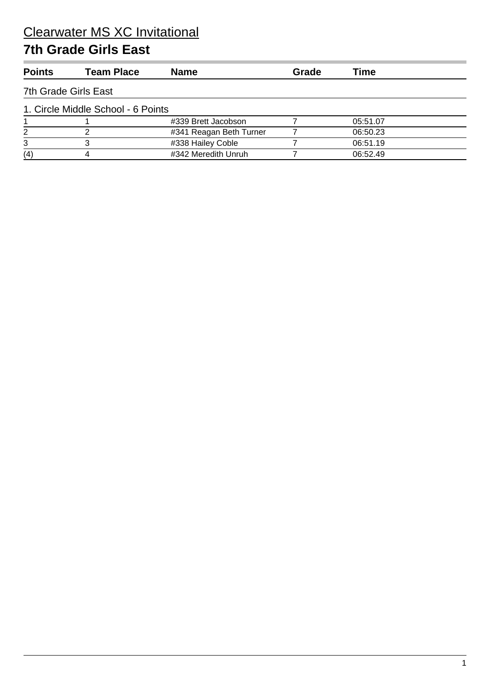#### **7th Grade Girls East**

| <b>Team Place</b>    | <b>Name</b>             | Grade                              | Time     |  |
|----------------------|-------------------------|------------------------------------|----------|--|
| 7th Grade Girls East |                         |                                    |          |  |
|                      |                         |                                    |          |  |
|                      | #339 Brett Jacobson     |                                    | 05:51.07 |  |
|                      | #341 Reagan Beth Turner |                                    | 06:50.23 |  |
| з                    | #338 Hailey Coble       |                                    | 06:51.19 |  |
| 4                    | #342 Meredith Unruh     |                                    | 06:52.49 |  |
|                      |                         | 1. Circle Middle School - 6 Points |          |  |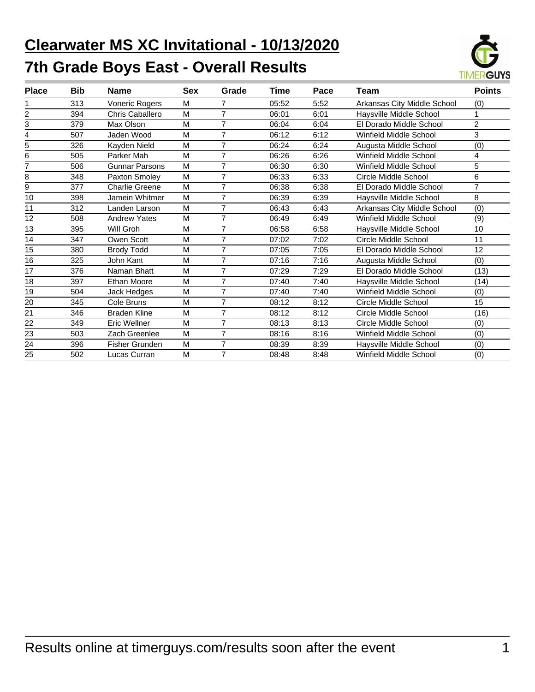# **Clearwater MS XC Invitational - 10/13/2020 7th Grade Boys East - Overall Results**



| <b>Place</b> | <b>Bib</b> | <b>Name</b>           | Sex | Grade          | Time  | Pace | Team                          | <b>Points</b>  |
|--------------|------------|-----------------------|-----|----------------|-------|------|-------------------------------|----------------|
|              | 313        | Voneric Rogers        | M   | 7              | 05:52 | 5:52 | Arkansas City Middle School   | (0)            |
| 2            | 394        | Chris Caballero       | M   | $\overline{7}$ | 06:01 | 6:01 | Haysville Middle School       |                |
| 3            | 379        | Max Olson             | M   | $\overline{7}$ | 06:04 | 6:04 | El Dorado Middle School       | $\overline{2}$ |
| 4            | 507        | Jaden Wood            | M   | $\overline{7}$ | 06:12 | 6:12 | Winfield Middle School        | 3              |
| 5            | 326        | Kayden Nield          | M   | $\overline{7}$ | 06:24 | 6:24 | Augusta Middle School         | (0)            |
| 6            | 505        | Parker Mah            | M   | $\overline{7}$ | 06:26 | 6:26 | Winfield Middle School        | 4              |
|              | 506        | <b>Gunnar Parsons</b> | M   | 7              | 06:30 | 6:30 | Winfield Middle School        | 5              |
| 8            | 348        | Paxton Smoley         | M   | $\overline{7}$ | 06:33 | 6:33 | Circle Middle School          | 6              |
| 9            | 377        | Charlie Greene        | M   | 7              | 06:38 | 6:38 | El Dorado Middle School       | $\overline{7}$ |
| 10           | 398        | Jamein Whitmer        | M   | $\overline{7}$ | 06:39 | 6:39 | Haysville Middle School       | 8              |
| 11           | 312        | Landen Larson         | M   | $\overline{7}$ | 06:43 | 6:43 | Arkansas City Middle School   | (0)            |
| 12           | 508        | <b>Andrew Yates</b>   | M   | $\overline{7}$ | 06:49 | 6:49 | Winfield Middle School        | (9)            |
| 13           | 395        | Will Groh             | M   | $\overline{7}$ | 06:58 | 6:58 | Haysville Middle School       | 10             |
| 14           | 347        | Owen Scott            | M   | 7              | 07:02 | 7:02 | Circle Middle School          | 11             |
| 15           | 380        | <b>Brody Todd</b>     | M   | $\overline{7}$ | 07:05 | 7:05 | El Dorado Middle School       | 12             |
| 16           | 325        | John Kant             | M   | $\overline{7}$ | 07:16 | 7:16 | Augusta Middle School         | (0)            |
| 17           | 376        | Naman Bhatt           | M   | $\overline{7}$ | 07:29 | 7:29 | El Dorado Middle School       | (13)           |
| 18           | 397        | <b>Ethan Moore</b>    | M   | $\overline{7}$ | 07:40 | 7:40 | Haysville Middle School       | (14)           |
| 19           | 504        | Jack Hedges           | M   | $\overline{7}$ | 07:40 | 7:40 | Winfield Middle School        | (0)            |
| 20           | 345        | Cole Bruns            | M   | $\overline{7}$ | 08:12 | 8:12 | Circle Middle School          | 15             |
| 21           | 346        | <b>Braden Kline</b>   | M   | $\overline{7}$ | 08:12 | 8:12 | Circle Middle School          | (16)           |
| 22           | 349        | Eric Wellner          | M   | $\overline{7}$ | 08:13 | 8:13 | Circle Middle School          | (0)            |
| 23           | 503        | Zach Greenlee         | M   | $\overline{7}$ | 08:16 | 8:16 | <b>Winfield Middle School</b> | (0)            |
| 24           | 396        | Fisher Grunden        | M   | $\overline{7}$ | 08:39 | 8:39 | Haysville Middle School       | (0)            |
| 25           | 502        | Lucas Curran          | M   | $\overline{7}$ | 08:48 | 8:48 | <b>Winfield Middle School</b> | (0)            |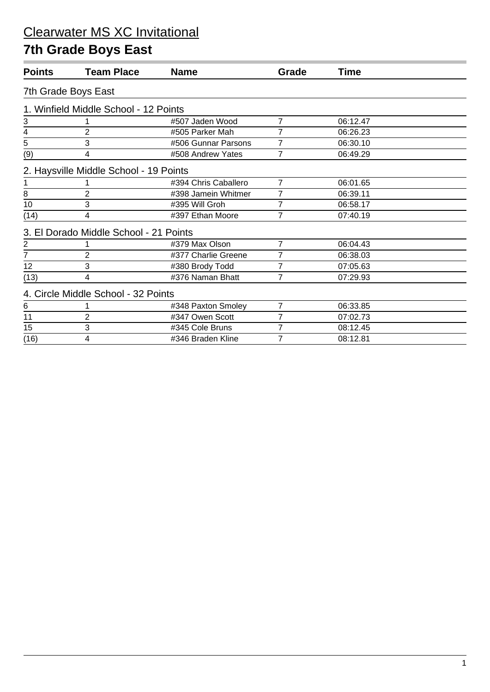### **7th Grade Boys East**

| <b>Team Place</b>                     | <b>Name</b>          | Grade                                                                                                                   | Time     |  |  |  |  |  |  |
|---------------------------------------|----------------------|-------------------------------------------------------------------------------------------------------------------------|----------|--|--|--|--|--|--|
| 7th Grade Boys East                   |                      |                                                                                                                         |          |  |  |  |  |  |  |
| 1. Winfield Middle School - 12 Points |                      |                                                                                                                         |          |  |  |  |  |  |  |
|                                       | #507 Jaden Wood      | 7                                                                                                                       | 06:12.47 |  |  |  |  |  |  |
| $\overline{2}$                        | #505 Parker Mah      | 7                                                                                                                       | 06:26.23 |  |  |  |  |  |  |
| 3                                     | #506 Gunnar Parsons  | 7                                                                                                                       | 06:30.10 |  |  |  |  |  |  |
| 4                                     | #508 Andrew Yates    | 7                                                                                                                       | 06:49.29 |  |  |  |  |  |  |
|                                       |                      |                                                                                                                         |          |  |  |  |  |  |  |
|                                       | #394 Chris Caballero | 7                                                                                                                       | 06:01.65 |  |  |  |  |  |  |
| 2                                     | #398 Jamein Whitmer  | 7                                                                                                                       | 06:39.11 |  |  |  |  |  |  |
| 3                                     | #395 Will Groh       | 7                                                                                                                       | 06:58.17 |  |  |  |  |  |  |
| 4                                     | #397 Ethan Moore     | 7                                                                                                                       | 07:40.19 |  |  |  |  |  |  |
|                                       |                      |                                                                                                                         |          |  |  |  |  |  |  |
|                                       | #379 Max Olson       | 7                                                                                                                       | 06:04.43 |  |  |  |  |  |  |
| $\overline{2}$                        | #377 Charlie Greene  | 7                                                                                                                       | 06:38.03 |  |  |  |  |  |  |
| 3                                     | #380 Brody Todd      | 7                                                                                                                       | 07:05.63 |  |  |  |  |  |  |
| 4                                     | #376 Naman Bhatt     | 7                                                                                                                       | 07:29.93 |  |  |  |  |  |  |
|                                       |                      |                                                                                                                         |          |  |  |  |  |  |  |
|                                       | #348 Paxton Smoley   | 7                                                                                                                       | 06:33.85 |  |  |  |  |  |  |
| $\overline{2}$                        | #347 Owen Scott      | 7                                                                                                                       | 07:02.73 |  |  |  |  |  |  |
| 3                                     | #345 Cole Bruns      | 7                                                                                                                       | 08:12.45 |  |  |  |  |  |  |
| 4                                     | #346 Braden Kline    | 7                                                                                                                       | 08:12.81 |  |  |  |  |  |  |
|                                       |                      | 2. Haysville Middle School - 19 Points<br>3. El Dorado Middle School - 21 Points<br>4. Circle Middle School - 32 Points |          |  |  |  |  |  |  |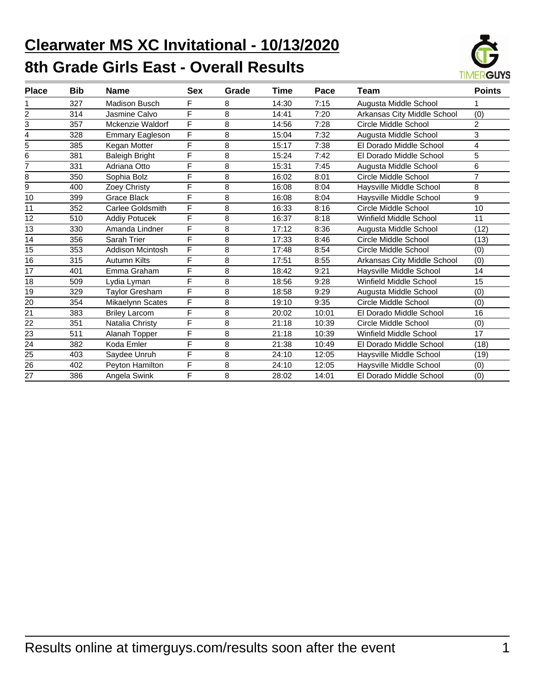# **Clearwater MS XC Invitational - 10/13/2020 8th Grade Girls East - Overall Results**



| <b>Place</b>   | Bib | <b>Name</b>             | <b>Sex</b> | Grade | Time  | Pace  | Team                          | <b>Points</b>  |
|----------------|-----|-------------------------|------------|-------|-------|-------|-------------------------------|----------------|
|                | 327 | <b>Madison Busch</b>    | F          | 8     | 14:30 | 7:15  | Augusta Middle School         | 1              |
| $\overline{2}$ | 314 | Jasmine Calvo           | F          | 8     | 14:41 | 7:20  | Arkansas City Middle School   | (0)            |
| 3              | 357 | Mckenzie Waldorf        | F          | 8     | 14:56 | 7:28  | Circle Middle School          | 2              |
| 4              | 328 | <b>Emmary Eagleson</b>  | F          | 8     | 15:04 | 7:32  | Augusta Middle School         | 3              |
| 5              | 385 | Kegan Motter            | F          | 8     | 15:17 | 7:38  | El Dorado Middle School       | 4              |
| 6              | 381 | <b>Baleigh Bright</b>   | F          | 8     | 15:24 | 7:42  | El Dorado Middle School       | 5              |
| 7              | 331 | Adriana Otto            | F          | 8     | 15:31 | 7:45  | Augusta Middle School         | 6              |
| 8              | 350 | Sophia Bolz             | F          | 8     | 16:02 | 8:01  | Circle Middle School          | $\overline{7}$ |
| 9              | 400 | Zoey Christy            | F          | 8     | 16:08 | 8:04  | Haysville Middle School       | 8              |
| 10             | 399 | <b>Grace Black</b>      | F          | 8     | 16:08 | 8:04  | Haysville Middle School       | 9              |
| 11             | 352 | Carlee Goldsmith        | F          | 8     | 16:33 | 8:16  | Circle Middle School          | 10             |
| 12             | 510 | <b>Addiy Potucek</b>    | F          | 8     | 16:37 | 8:18  | Winfield Middle School        | 11             |
| 13             | 330 | Amanda Lindner          | F          | 8     | 17:12 | 8:36  | Augusta Middle School         | (12)           |
| 14             | 356 | Sarah Trier             | F          | 8     | 17:33 | 8:46  | Circle Middle School          | (13)           |
| 15             | 353 | <b>Addison Mcintosh</b> | F          | 8     | 17:48 | 8:54  | Circle Middle School          | (0)            |
| 16             | 315 | Autumn Kilts            | F          | 8     | 17:51 | 8:55  | Arkansas City Middle School   | (0)            |
| 17             | 401 | Emma Graham             | F          | 8     | 18:42 | 9:21  | Haysville Middle School       | 14             |
| 18             | 509 | Lydia Lyman             | F          | 8     | 18:56 | 9:28  | Winfield Middle School        | 15             |
| 19             | 329 | Taylor Gresham          | F          | 8     | 18:58 | 9:29  | Augusta Middle School         | (0)            |
| 20             | 354 | Mikaelynn Scates        | F          | 8     | 19:10 | 9:35  | Circle Middle School          | (0)            |
| 21             | 383 | <b>Briley Larcom</b>    | F          | 8     | 20:02 | 10:01 | El Dorado Middle School       | 16             |
| 22             | 351 | Natalia Christy         | F          | 8     | 21:18 | 10:39 | Circle Middle School          | (0)            |
| 23             | 511 | Alanah Topper           | F          | 8     | 21:18 | 10:39 | <b>Winfield Middle School</b> | 17             |
| 24             | 382 | Koda Emler              | F          | 8     | 21:38 | 10:49 | El Dorado Middle School       | (18)           |
| 25             | 403 | Saydee Unruh            | F          | 8     | 24:10 | 12:05 | Haysville Middle School       | (19)           |
| 26             | 402 | Peyton Hamilton         | F          | 8     | 24:10 | 12:05 | Haysville Middle School       | (0)            |
| 27             | 386 | Angela Swink            | F          | 8     | 28:02 | 14:01 | El Dorado Middle School       | (0)            |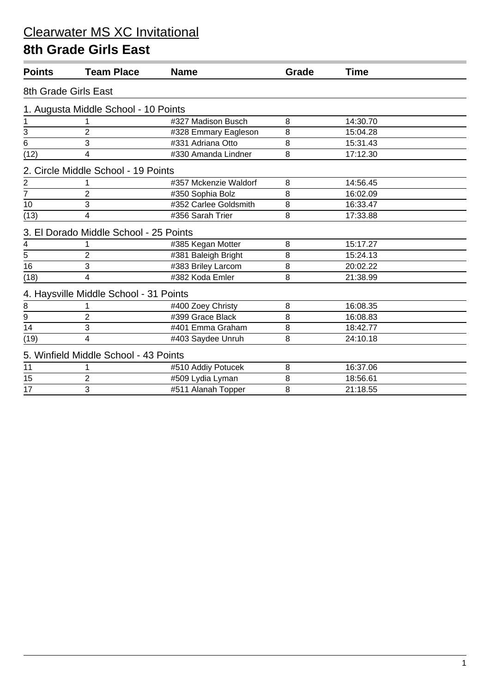#### **8th Grade Girls East**

| <b>Points</b>   | <b>Team Place</b>                      | <b>Name</b>           | Grade | <b>Time</b> |  |
|-----------------|----------------------------------------|-----------------------|-------|-------------|--|
|                 | 8th Grade Girls East                   |                       |       |             |  |
|                 | 1. Augusta Middle School - 10 Points   |                       |       |             |  |
| 1               |                                        | #327 Madison Busch    | 8     | 14:30.70    |  |
|                 | $\overline{2}$                         | #328 Emmary Eagleson  | 8     | 15:04.28    |  |
| $\frac{3}{6}$   | 3                                      | #331 Adriana Otto     | 8     | 15:31.43    |  |
| (12)            | 4                                      | #330 Amanda Lindner   | 8     | 17:12.30    |  |
|                 | 2. Circle Middle School - 19 Points    |                       |       |             |  |
|                 |                                        | #357 Mckenzie Waldorf | 8     | 14:56.45    |  |
| $\frac{2}{7}$   | $\overline{2}$                         | #350 Sophia Bolz      | 8     | 16:02.09    |  |
| 10              | 3                                      | #352 Carlee Goldsmith | 8     | 16:33.47    |  |
| (13)            | 4                                      | #356 Sarah Trier      | 8     | 17:33.88    |  |
|                 | 3. El Dorado Middle School - 25 Points |                       |       |             |  |
| 4               |                                        | #385 Kegan Motter     | 8     | 15:17.27    |  |
| $\overline{5}$  | $\overline{2}$                         | #381 Baleigh Bright   | 8     | 15:24.13    |  |
| 16              | 3                                      | #383 Briley Larcom    | 8     | 20:02.22    |  |
| (18)            | 4                                      | #382 Koda Emler       | 8     | 21:38.99    |  |
|                 | 4. Haysville Middle School - 31 Points |                       |       |             |  |
| $\bf 8$         | 1                                      | #400 Zoey Christy     | 8     | 16:08.35    |  |
| 9               | $\overline{2}$                         | #399 Grace Black      | 8     | 16:08.83    |  |
| $\overline{14}$ | 3                                      | #401 Emma Graham      | 8     | 18:42.77    |  |
| (19)            | 4                                      | #403 Saydee Unruh     | 8     | 24:10.18    |  |
|                 | 5. Winfield Middle School - 43 Points  |                       |       |             |  |
| 11              |                                        | #510 Addiy Potucek    | 8     | 16:37.06    |  |
| 15              | $\overline{2}$                         | #509 Lydia Lyman      | 8     | 18:56.61    |  |
| 17              | 3                                      | #511 Alanah Topper    | 8     | 21:18.55    |  |
|                 |                                        |                       |       |             |  |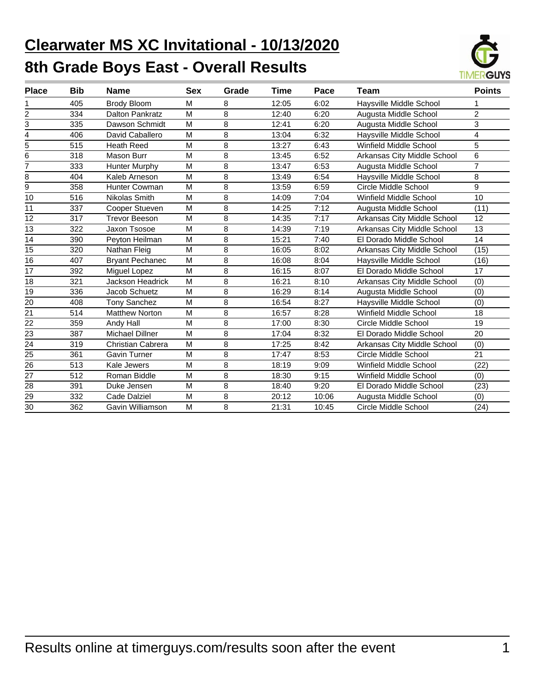# **Clearwater MS XC Invitational - 10/13/2020 8th Grade Boys East - Overall Results**



| <b>Place</b>    | Bib | <b>Name</b>             | <b>Sex</b> | Grade          | Time  | Pace  | Team                        | <b>Points</b>  |
|-----------------|-----|-------------------------|------------|----------------|-------|-------|-----------------------------|----------------|
|                 | 405 | <b>Brody Bloom</b>      | M          | 8              | 12:05 | 6:02  | Haysville Middle School     |                |
| 2               | 334 | <b>Dalton Pankratz</b>  | M          | 8              | 12:40 | 6:20  | Augusta Middle School       | $\overline{2}$ |
| 3               | 335 | Dawson Schmidt          | M          | 8              | 12:41 | 6:20  | Augusta Middle School       | 3              |
| 4               | 406 | David Caballero         | M          | 8              | 13:04 | 6:32  | Haysville Middle School     | 4              |
| 5               | 515 | <b>Heath Reed</b>       | M          | 8              | 13:27 | 6:43  | Winfield Middle School      | 5              |
| 6               | 318 | Mason Burr              | M          | 8              | 13:45 | 6:52  | Arkansas City Middle School | 6              |
| 7               | 333 | <b>Hunter Murphy</b>    | M          | 8              | 13:47 | 6:53  | Augusta Middle School       | $\overline{7}$ |
| 8               | 404 | Kaleb Arneson           | M          | 8              | 13:49 | 6:54  | Haysville Middle School     | 8              |
| 9               | 358 | Hunter Cowman           | M          | 8              | 13:59 | 6:59  | <b>Circle Middle School</b> | 9              |
| 10              | 516 | Nikolas Smith           | M          | 8              | 14:09 | 7:04  | Winfield Middle School      | 10             |
| 11              | 337 | Cooper Stueven          | M          | 8              | 14:25 | 7:12  | Augusta Middle School       | (11)           |
| 12              | 317 | <b>Trevor Beeson</b>    | M          | 8              | 14:35 | 7:17  | Arkansas City Middle School | 12             |
| 13              | 322 | Jaxon Tsosoe            | M          | 8              | 14:39 | 7:19  | Arkansas City Middle School | 13             |
| 14              | 390 | Peyton Heilman          | M          | 8              | 15:21 | 7:40  | El Dorado Middle School     | 14             |
| 15              | 320 | Nathan Fleig            | M          | 8              | 16:05 | 8:02  | Arkansas City Middle School | (15)           |
| 16              | 407 | <b>Bryant Pechanec</b>  | M          | 8              | 16:08 | 8:04  | Haysville Middle School     | (16)           |
| $\overline{17}$ | 392 | Miguel Lopez            | M          | $\overline{8}$ | 16:15 | 8:07  | El Dorado Middle School     | 17             |
| 18              | 321 | <b>Jackson Headrick</b> | M          | 8              | 16:21 | 8:10  | Arkansas City Middle School | (0)            |
| 19              | 336 | Jacob Schuetz           | M          | 8              | 16:29 | 8:14  | Augusta Middle School       | (0)            |
| 20              | 408 | <b>Tony Sanchez</b>     | M          | 8              | 16:54 | 8:27  | Haysville Middle School     | (0)            |
| $\overline{21}$ | 514 | <b>Matthew Norton</b>   | M          | $\overline{8}$ | 16:57 | 8:28  | Winfield Middle School      | 18             |
| 22              | 359 | Andy Hall               | M          | 8              | 17:00 | 8:30  | Circle Middle School        | 19             |
| 23              | 387 | <b>Michael Dillner</b>  | M          | 8              | 17:04 | 8:32  | El Dorado Middle School     | 20             |
| 24              | 319 | Christian Cabrera       | M          | 8              | 17:25 | 8:42  | Arkansas City Middle School | (0)            |
| 25              | 361 | Gavin Turner            | M          | 8              | 17:47 | 8:53  | Circle Middle School        | 21             |
| 26              | 513 | Kale Jewers             | M          | 8              | 18:19 | 9:09  | Winfield Middle School      | (22)           |
| 27              | 512 | Roman Biddle            | M          | 8              | 18:30 | 9:15  | Winfield Middle School      | (0)            |
| 28              | 391 | Duke Jensen             | M          | 8              | 18:40 | 9:20  | El Dorado Middle School     | (23)           |
| 29              | 332 | Cade Dalziel            | M          | 8              | 20:12 | 10:06 | Augusta Middle School       | (0)            |
| 30              | 362 | Gavin Williamson        | M          | 8              | 21:31 | 10:45 | Circle Middle School        | (24)           |